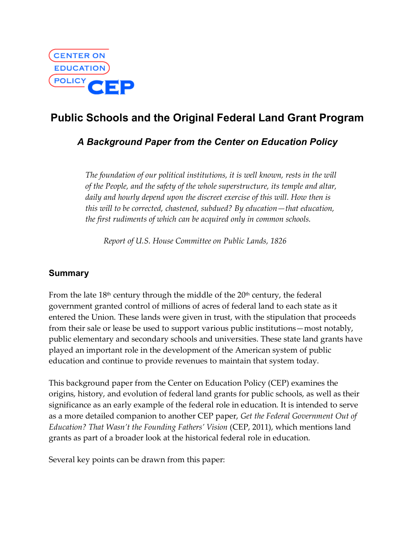

# **Public Schools and the Original Federal Land Grant Program**

## *A Background Paper from the Center on Education Policy*

*The foundation of our political institutions, it is well known, rests in the will of the People, and the safety of the whole superstructure, its temple and altar, daily and hourly depend upon the discreet exercise of this will. How then is this will to be corrected, chastened, subdued? By education—that education, the first rudiments of which can be acquired only in common schools.*

*Report of U.S. House Committee on Public Lands, 1826*

## **Summary**

From the late  $18<sup>th</sup>$  century through the middle of the  $20<sup>th</sup>$  century, the federal government granted control of millions of acres of federal land to each state as it entered the Union. These lands were given in trust, with the stipulation that proceeds from their sale or lease be used to support various public institutions—most notably, public elementary and secondary schools and universities. These state land grants have played an important role in the development of the American system of public education and continue to provide revenues to maintain that system today.

This background paper from the Center on Education Policy (CEP) examines the origins, history, and evolution of federal land grants for public schools, as well as their significance as an early example of the federal role in education. It is intended to serve as a more detailed companion to another CEP paper, *Get the Federal Government Out of Education? That Wasn't the Founding Fathers' Vision* (CEP, 2011), which mentions land grants as part of a broader look at the historical federal role in education.

Several key points can be drawn from this paper: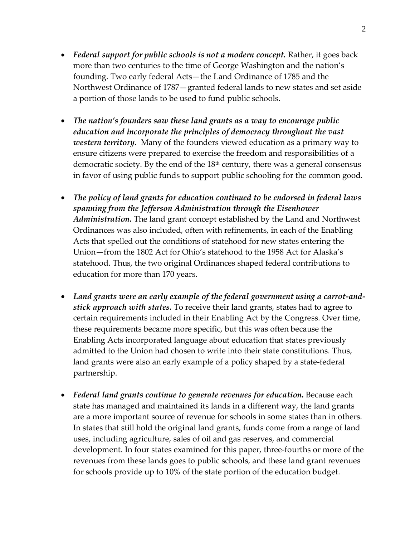- · *Federal support for public schools is not a modern concept.* Rather, it goes back more than two centuries to the time of George Washington and the nation's founding. Two early federal Acts—the Land Ordinance of 1785 and the Northwest Ordinance of 1787—granted federal lands to new states and set aside a portion of those lands to be used to fund public schools.
- · *The nation's founders saw these land grants as a way to encourage public education and incorporate the principles of democracy throughout the vast western territory.* Many of the founders viewed education as a primary way to ensure citizens were prepared to exercise the freedom and responsibilities of a democratic society. By the end of the  $18<sup>th</sup>$  century, there was a general consensus in favor of using public funds to support public schooling for the common good.
- · *The policy of land grants for education continued to be endorsed in federal laws spanning from the Jefferson Administration through the Eisenhower Administration.* The land grant concept established by the Land and Northwest Ordinances was also included, often with refinements, in each of the Enabling Acts that spelled out the conditions of statehood for new states entering the Union—from the 1802 Act for Ohio's statehood to the 1958 Act for Alaska's statehood. Thus, the two original Ordinances shaped federal contributions to education for more than 170 years.
- · *Land grants were an early example of the federal government using a carrot-andstick approach with states.* To receive their land grants, states had to agree to certain requirements included in their Enabling Act by the Congress. Over time, these requirements became more specific, but this was often because the Enabling Acts incorporated language about education that states previously admitted to the Union had chosen to write into their state constitutions. Thus, land grants were also an early example of a policy shaped by a state-federal partnership.
- *Federal land grants continue to generate revenues for education.* Because each state has managed and maintained its lands in a different way, the land grants are a more important source of revenue for schools in some states than in others. In states that still hold the original land grants, funds come from a range of land uses, including agriculture, sales of oil and gas reserves, and commercial development. In four states examined for this paper, three-fourths or more of the revenues from these lands goes to public schools, and these land grant revenues for schools provide up to 10% of the state portion of the education budget.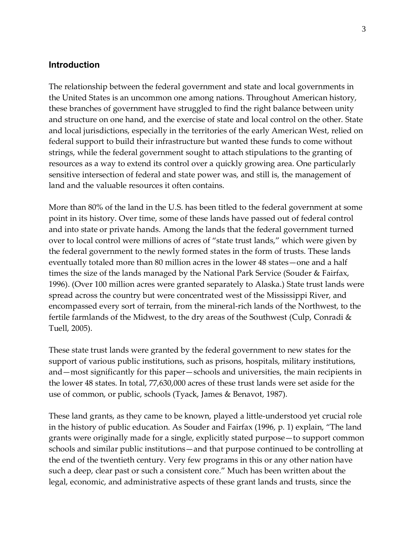#### **Introduction**

The relationship between the federal government and state and local governments in the United States is an uncommon one among nations. Throughout American history, these branches of government have struggled to find the right balance between unity and structure on one hand, and the exercise of state and local control on the other. State and local jurisdictions, especially in the territories of the early American West, relied on federal support to build their infrastructure but wanted these funds to come without strings, while the federal government sought to attach stipulations to the granting of resources as a way to extend its control over a quickly growing area. One particularly sensitive intersection of federal and state power was, and still is, the management of land and the valuable resources it often contains.

More than 80% of the land in the U.S. has been titled to the federal government at some point in its history. Over time, some of these lands have passed out of federal control and into state or private hands. Among the lands that the federal government turned over to local control were millions of acres of "state trust lands," which were given by the federal government to the newly formed states in the form of trusts. These lands eventually totaled more than 80 million acres in the lower 48 states—one and a half times the size of the lands managed by the National Park Service (Souder & Fairfax, 1996). (Over 100 million acres were granted separately to Alaska.) State trust lands were spread across the country but were concentrated west of the Mississippi River, and encompassed every sort of terrain, from the mineral-rich lands of the Northwest, to the fertile farmlands of the Midwest, to the dry areas of the Southwest (Culp, Conradi & Tuell, 2005).

These state trust lands were granted by the federal government to new states for the support of various public institutions, such as prisons, hospitals, military institutions, and—most significantly for this paper—schools and universities, the main recipients in the lower 48 states. In total, 77,630,000 acres of these trust lands were set aside for the use of common, or public, schools (Tyack, James & Benavot, 1987).

These land grants, as they came to be known, played a little-understood yet crucial role in the history of public education. As Souder and Fairfax (1996, p. 1) explain, "The land grants were originally made for a single, explicitly stated purpose—to support common schools and similar public institutions—and that purpose continued to be controlling at the end of the twentieth century. Very few programs in this or any other nation have such a deep, clear past or such a consistent core." Much has been written about the legal, economic, and administrative aspects of these grant lands and trusts, since the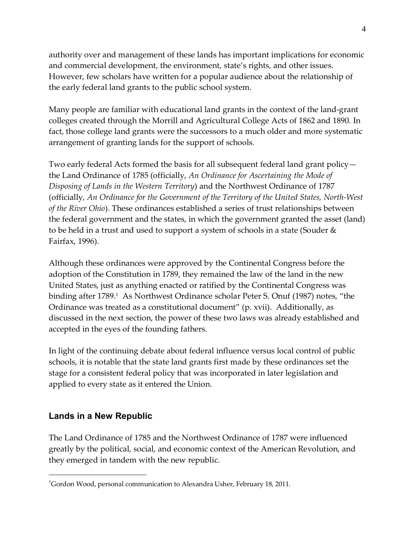authority over and management of these lands has important implications for economic and commercial development, the environment, state's rights, and other issues. However, few scholars have written for a popular audience about the relationship of the early federal land grants to the public school system.

Many people are familiar with educational land grants in the context of the land-grant colleges created through the Morrill and Agricultural College Acts of 1862 and 1890. In fact, those college land grants were the successors to a much older and more systematic arrangement of granting lands for the support of schools.

Two early federal Acts formed the basis for all subsequent federal land grant policy the Land Ordinance of 1785 (officially, *An Ordinance for Ascertaining the Mode of Disposing of Lands in the Western Territory*) and the Northwest Ordinance of 1787 (officially, *An Ordinance for the Government of the Territory of the United States, North-West of the River Ohio*). These ordinances established a series of trust relationships between the federal government and the states, in which the government granted the asset (land) to be held in a trust and used to support a system of schools in a state (Souder & Fairfax, 1996).

Although these ordinances were approved by the Continental Congress before the adoption of the Constitution in 1789, they remained the law of the land in the new United States, just as anything enacted or ratified by the Continental Congress was binding after 1789.<sup>1</sup> As Northwest Ordinance scholar Peter S. Onuf (1987) notes, "the Ordinance was treated as a constitutional document" (p. xvii). Additionally, as discussed in the next section, the power of these two laws was already established and accepted in the eyes of the founding fathers.

In light of the continuing debate about federal influence versus local control of public schools, it is notable that the state land grants first made by these ordinances set the stage for a consistent federal policy that was incorporated in later legislation and applied to every state as it entered the Union.

#### **Lands in a New Republic**

The Land Ordinance of 1785 and the Northwest Ordinance of 1787 were influenced greatly by the political, social, and economic context of the American Revolution, and they emerged in tandem with the new republic.

 $\frac{1}{1}$ Gordon Wood, personal communication to Alexandra Usher, February 18, 2011.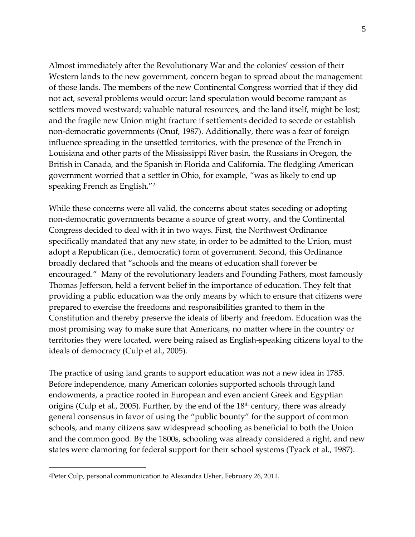Almost immediately after the Revolutionary War and the colonies' cession of their Western lands to the new government, concern began to spread about the management of those lands. The members of the new Continental Congress worried that if they did not act, several problems would occur: land speculation would become rampant as settlers moved westward; valuable natural resources, and the land itself, might be lost; and the fragile new Union might fracture if settlements decided to secede or establish non-democratic governments (Onuf, 1987). Additionally, there was a fear of foreign influence spreading in the unsettled territories, with the presence of the French in Louisiana and other parts of the Mississippi River basin, the Russians in Oregon, the British in Canada, and the Spanish in Florida and California. The fledgling American government worried that a settler in Ohio, for example, "was as likely to end up speaking French as English."<sup>2</sup>

While these concerns were all valid, the concerns about states seceding or adopting non-democratic governments became a source of great worry, and the Continental Congress decided to deal with it in two ways. First, the Northwest Ordinance specifically mandated that any new state, in order to be admitted to the Union, must adopt a Republican (i.e., democratic) form of government. Second, this Ordinance broadly declared that "schools and the means of education shall forever be encouraged." Many of the revolutionary leaders and Founding Fathers, most famously Thomas Jefferson, held a fervent belief in the importance of education. They felt that providing a public education was the only means by which to ensure that citizens were prepared to exercise the freedoms and responsibilities granted to them in the Constitution and thereby preserve the ideals of liberty and freedom. Education was the most promising way to make sure that Americans, no matter where in the country or territories they were located, were being raised as English-speaking citizens loyal to the ideals of democracy (Culp et al., 2005).

The practice of using land grants to support education was not a new idea in 1785. Before independence, many American colonies supported schools through land endowments, a practice rooted in European and even ancient Greek and Egyptian origins (Culp et al., 2005). Further, by the end of the  $18<sup>th</sup>$  century, there was already general consensus in favor of using the "public bounty" for the support of common schools, and many citizens saw widespread schooling as beneficial to both the Union and the common good. By the 1800s, schooling was already considered a right, and new states were clamoring for federal support for their school systems (Tyack et al., 1987).

 $\overline{a}$ 

<sup>2</sup>Peter Culp, personal communication to Alexandra Usher, February 26, 2011.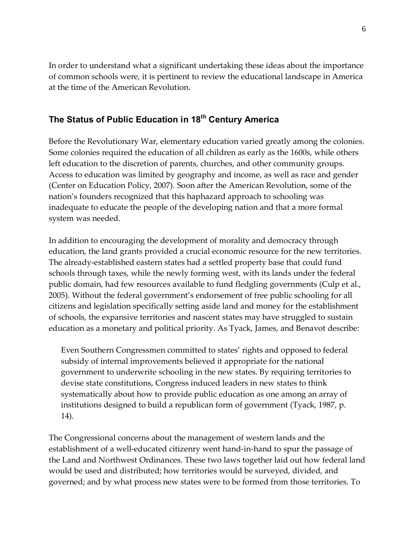In order to understand what a significant undertaking these ideas about the importance of common schools were, it is pertinent to review the educational landscape in America at the time of the American Revolution.

## **The Status of Public Education in 18th Century America**

Before the Revolutionary War, elementary education varied greatly among the colonies. Some colonies required the education of all children as early as the 1600s, while others left education to the discretion of parents, churches, and other community groups. Access to education was limited by geography and income, as well as race and gender (Center on Education Policy, 2007). Soon after the American Revolution, some of the nation's founders recognized that this haphazard approach to schooling was inadequate to educate the people of the developing nation and that a more formal system was needed.

In addition to encouraging the development of morality and democracy through education, the land grants provided a crucial economic resource for the new territories. The already-established eastern states had a settled property base that could fund schools through taxes, while the newly forming west, with its lands under the federal public domain, had few resources available to fund fledgling governments (Culp et al., 2005). Without the federal government's endorsement of free public schooling for all citizens and legislation specifically setting aside land and money for the establishment of schools, the expansive territories and nascent states may have struggled to sustain education as a monetary and political priority. As Tyack, James, and Benavot describe:

Even Southern Congressmen committed to states' rights and opposed to federal subsidy of internal improvements believed it appropriate for the national government to underwrite schooling in the new states. By requiring territories to devise state constitutions, Congress induced leaders in new states to think systematically about how to provide public education as one among an array of institutions designed to build a republican form of government (Tyack, 1987, p. 14).

The Congressional concerns about the management of western lands and the establishment of a well-educated citizenry went hand-in-hand to spur the passage of the Land and Northwest Ordinances. These two laws together laid out how federal land would be used and distributed; how territories would be surveyed, divided, and governed; and by what process new states were to be formed from those territories. To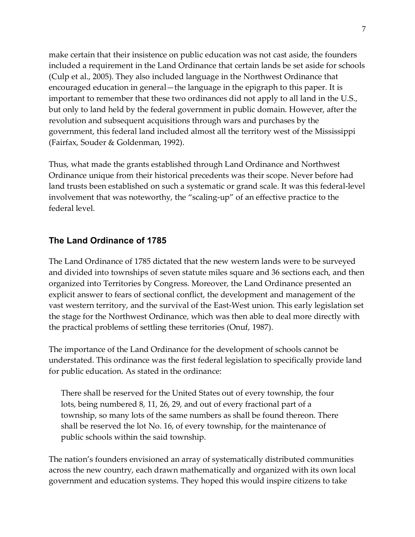make certain that their insistence on public education was not cast aside, the founders included a requirement in the Land Ordinance that certain lands be set aside for schools (Culp et al., 2005). They also included language in the Northwest Ordinance that encouraged education in general—the language in the epigraph to this paper. It is important to remember that these two ordinances did not apply to all land in the U.S., but only to land held by the federal government in public domain. However, after the revolution and subsequent acquisitions through wars and purchases by the government, this federal land included almost all the territory west of the Mississippi (Fairfax, Souder & Goldenman, 1992).

Thus, what made the grants established through Land Ordinance and Northwest Ordinance unique from their historical precedents was their scope. Never before had land trusts been established on such a systematic or grand scale. It was this federal-level involvement that was noteworthy, the "scaling-up" of an effective practice to the federal level.

#### **The Land Ordinance of 1785**

The Land Ordinance of 1785 dictated that the new western lands were to be surveyed and divided into townships of seven statute miles square and 36 sections each, and then organized into Territories by Congress. Moreover, the Land Ordinance presented an explicit answer to fears of sectional conflict, the development and management of the vast western territory, and the survival of the East-West union. This early legislation set the stage for the Northwest Ordinance, which was then able to deal more directly with the practical problems of settling these territories (Onuf, 1987).

The importance of the Land Ordinance for the development of schools cannot be understated. This ordinance was the first federal legislation to specifically provide land for public education. As stated in the ordinance:

There shall be reserved for the United States out of every township, the four lots, being numbered 8, 11, 26, 29, and out of every fractional part of a township, so many lots of the same numbers as shall be found thereon. There shall be reserved the lot No. 16, of every township, for the maintenance of public schools within the said township.

The nation's founders envisioned an array of systematically distributed communities across the new country, each drawn mathematically and organized with its own local government and education systems. They hoped this would inspire citizens to take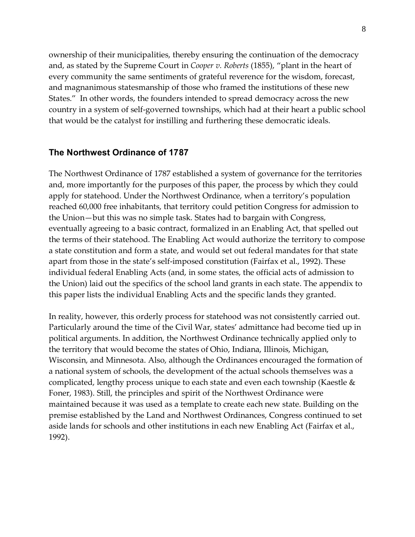ownership of their municipalities, thereby ensuring the continuation of the democracy and, as stated by the Supreme Court in *Cooper v. Roberts* (1855), "plant in the heart of every community the same sentiments of grateful reverence for the wisdom, forecast, and magnanimous statesmanship of those who framed the institutions of these new States." In other words, the founders intended to spread democracy across the new country in a system of self-governed townships, which had at their heart a public school that would be the catalyst for instilling and furthering these democratic ideals.

#### **The Northwest Ordinance of 1787**

The Northwest Ordinance of 1787 established a system of governance for the territories and, more importantly for the purposes of this paper, the process by which they could apply for statehood. Under the Northwest Ordinance, when a territory's population reached 60,000 free inhabitants, that territory could petition Congress for admission to the Union—but this was no simple task. States had to bargain with Congress, eventually agreeing to a basic contract, formalized in an Enabling Act, that spelled out the terms of their statehood. The Enabling Act would authorize the territory to compose a state constitution and form a state, and would set out federal mandates for that state apart from those in the state's self-imposed constitution (Fairfax et al., 1992). These individual federal Enabling Acts (and, in some states, the official acts of admission to the Union) laid out the specifics of the school land grants in each state. The appendix to this paper lists the individual Enabling Acts and the specific lands they granted.

In reality, however, this orderly process for statehood was not consistently carried out. Particularly around the time of the Civil War, states' admittance had become tied up in political arguments. In addition, the Northwest Ordinance technically applied only to the territory that would become the states of Ohio, Indiana, Illinois, Michigan, Wisconsin, and Minnesota. Also, although the Ordinances encouraged the formation of a national system of schools, the development of the actual schools themselves was a complicated, lengthy process unique to each state and even each township (Kaestle & Foner, 1983). Still, the principles and spirit of the Northwest Ordinance were maintained because it was used as a template to create each new state. Building on the premise established by the Land and Northwest Ordinances, Congress continued to set aside lands for schools and other institutions in each new Enabling Act (Fairfax et al., 1992).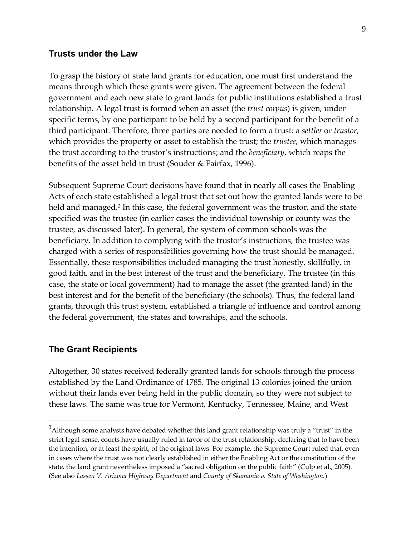#### **Trusts under the Law**

To grasp the history of state land grants for education, one must first understand the means through which these grants were given. The agreement between the federal government and each new state to grant lands for public institutions established a trust relationship. A legal trust is formed when an asset (the *trust corpus*) is given, under specific terms, by one participant to be held by a second participant for the benefit of a third participant. Therefore, three parties are needed to form a trust: a *settler* or *trustor*, which provides the property or asset to establish the trust; the *trustee*, which manages the trust according to the trustor's instructions; and the *beneficiary*, which reaps the benefits of the asset held in trust (Souder & Fairfax, 1996).

Subsequent Supreme Court decisions have found that in nearly all cases the Enabling Acts of each state established a legal trust that set out how the granted lands were to be held and managed. <sup>3</sup> In this case, the federal government was the trustor, and the state specified was the trustee (in earlier cases the individual township or county was the trustee, as discussed later). In general, the system of common schools was the beneficiary. In addition to complying with the trustor's instructions, the trustee was charged with a series of responsibilities governing how the trust should be managed. Essentially, these responsibilities included managing the trust honestly, skillfully, in good faith, and in the best interest of the trust and the beneficiary. The trustee (in this case, the state or local government) had to manage the asset (the granted land) in the best interest and for the benefit of the beneficiary (the schools). Thus, the federal land grants, through this trust system, established a triangle of influence and control among the federal government, the states and townships, and the schools.

#### **The Grant Recipients**

Altogether, 30 states received federally granted lands for schools through the process established by the Land Ordinance of 1785. The original 13 colonies joined the union without their lands ever being held in the public domain, so they were not subject to these laws. The same was true for Vermont, Kentucky, Tennessee, Maine, and West

 $\frac{1}{3}$ <sup>3</sup>Although some analysts have debated whether this land grant relationship was truly a "trust" in the strict legal sense, courts have usually ruled in favor of the trust relationship, declaring that to have been the intention, or at least the spirit, of the original laws. For example, the Supreme Court ruled that, even in cases where the trust was not clearly established in either the Enabling Act or the constitution of the state, the land grant nevertheless imposed a "sacred obligation on the public faith" (Culp et al., 2005). (See also *Lassen V. Arizona Highway Department* and *County of Skamania v. State of Washington.*)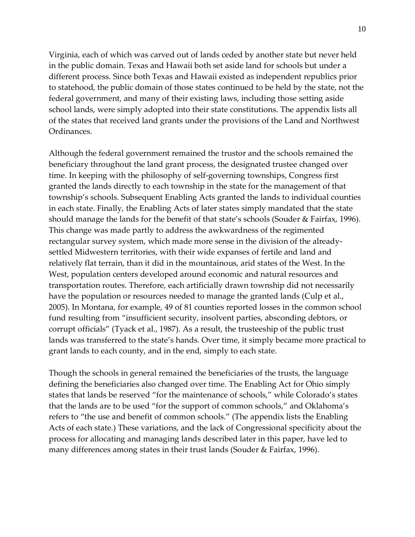Virginia, each of which was carved out of lands ceded by another state but never held in the public domain. Texas and Hawaii both set aside land for schools but under a different process. Since both Texas and Hawaii existed as independent republics prior to statehood, the public domain of those states continued to be held by the state, not the federal government, and many of their existing laws, including those setting aside school lands, were simply adopted into their state constitutions. The appendix lists all of the states that received land grants under the provisions of the Land and Northwest Ordinances.

Although the federal government remained the trustor and the schools remained the beneficiary throughout the land grant process, the designated trustee changed over time. In keeping with the philosophy of self-governing townships, Congress first granted the lands directly to each township in the state for the management of that township's schools. Subsequent Enabling Acts granted the lands to individual counties in each state. Finally, the Enabling Acts of later states simply mandated that the state should manage the lands for the benefit of that state's schools (Souder & Fairfax, 1996). This change was made partly to address the awkwardness of the regimented rectangular survey system, which made more sense in the division of the alreadysettled Midwestern territories, with their wide expanses of fertile and land and relatively flat terrain, than it did in the mountainous, arid states of the West. In the West, population centers developed around economic and natural resources and transportation routes. Therefore, each artificially drawn township did not necessarily have the population or resources needed to manage the granted lands (Culp et al., 2005). In Montana, for example, 49 of 81 counties reported losses in the common school fund resulting from "insufficient security, insolvent parties, absconding debtors, or corrupt officials" (Tyack et al., 1987). As a result, the trusteeship of the public trust lands was transferred to the state's hands. Over time, it simply became more practical to grant lands to each county, and in the end, simply to each state.

Though the schools in general remained the beneficiaries of the trusts, the language defining the beneficiaries also changed over time. The Enabling Act for Ohio simply states that lands be reserved "for the maintenance of schools," while Colorado's states that the lands are to be used "for the support of common schools," and Oklahoma's refers to "the use and benefit of common schools." (The appendix lists the Enabling Acts of each state.) These variations, and the lack of Congressional specificity about the process for allocating and managing lands described later in this paper, have led to many differences among states in their trust lands (Souder & Fairfax, 1996).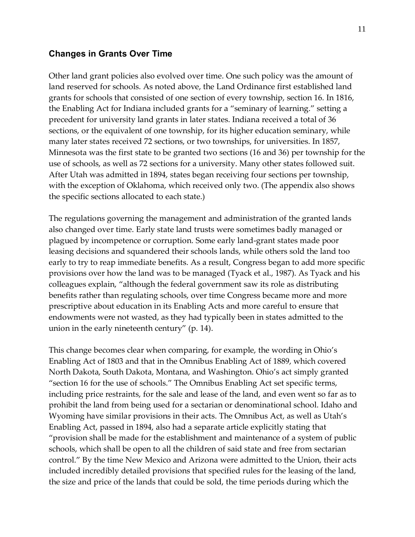#### **Changes in Grants Over Time**

Other land grant policies also evolved over time. One such policy was the amount of land reserved for schools. As noted above, the Land Ordinance first established land grants for schools that consisted of one section of every township, section 16. In 1816, the Enabling Act for Indiana included grants for a "seminary of learning." setting a precedent for university land grants in later states. Indiana received a total of 36 sections, or the equivalent of one township, for its higher education seminary, while many later states received 72 sections, or two townships, for universities. In 1857, Minnesota was the first state to be granted two sections (16 and 36) per township for the use of schools, as well as 72 sections for a university. Many other states followed suit. After Utah was admitted in 1894, states began receiving four sections per township, with the exception of Oklahoma, which received only two. (The appendix also shows the specific sections allocated to each state.)

The regulations governing the management and administration of the granted lands also changed over time. Early state land trusts were sometimes badly managed or plagued by incompetence or corruption. Some early land-grant states made poor leasing decisions and squandered their schools lands, while others sold the land too early to try to reap immediate benefits. As a result, Congress began to add more specific provisions over how the land was to be managed (Tyack et al., 1987). As Tyack and his colleagues explain, "although the federal government saw its role as distributing benefits rather than regulating schools, over time Congress became more and more prescriptive about education in its Enabling Acts and more careful to ensure that endowments were not wasted, as they had typically been in states admitted to the union in the early nineteenth century" (p. 14).

This change becomes clear when comparing, for example, the wording in Ohio's Enabling Act of 1803 and that in the Omnibus Enabling Act of 1889, which covered North Dakota, South Dakota, Montana, and Washington. Ohio's act simply granted "section 16 for the use of schools." The Omnibus Enabling Act set specific terms, including price restraints, for the sale and lease of the land, and even went so far as to prohibit the land from being used for a sectarian or denominational school. Idaho and Wyoming have similar provisions in their acts. The Omnibus Act, as well as Utah's Enabling Act, passed in 1894, also had a separate article explicitly stating that "provision shall be made for the establishment and maintenance of a system of public schools, which shall be open to all the children of said state and free from sectarian control." By the time New Mexico and Arizona were admitted to the Union, their acts included incredibly detailed provisions that specified rules for the leasing of the land, the size and price of the lands that could be sold, the time periods during which the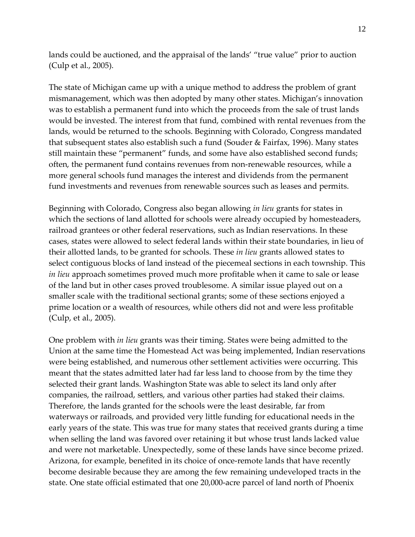lands could be auctioned, and the appraisal of the lands' "true value" prior to auction (Culp et al., 2005).

The state of Michigan came up with a unique method to address the problem of grant mismanagement, which was then adopted by many other states. Michigan's innovation was to establish a permanent fund into which the proceeds from the sale of trust lands would be invested. The interest from that fund, combined with rental revenues from the lands, would be returned to the schools. Beginning with Colorado, Congress mandated that subsequent states also establish such a fund (Souder & Fairfax, 1996). Many states still maintain these "permanent" funds, and some have also established second funds; often, the permanent fund contains revenues from non-renewable resources, while a more general schools fund manages the interest and dividends from the permanent fund investments and revenues from renewable sources such as leases and permits.

Beginning with Colorado, Congress also began allowing *in lieu* grants for states in which the sections of land allotted for schools were already occupied by homesteaders, railroad grantees or other federal reservations, such as Indian reservations. In these cases, states were allowed to select federal lands within their state boundaries, in lieu of their allotted lands, to be granted for schools. These *in lieu* grants allowed states to select contiguous blocks of land instead of the piecemeal sections in each township. This *in lieu* approach sometimes proved much more profitable when it came to sale or lease of the land but in other cases proved troublesome. A similar issue played out on a smaller scale with the traditional sectional grants; some of these sections enjoyed a prime location or a wealth of resources, while others did not and were less profitable (Culp, et al., 2005).

One problem with *in lieu* grants was their timing. States were being admitted to the Union at the same time the Homestead Act was being implemented, Indian reservations were being established, and numerous other settlement activities were occurring. This meant that the states admitted later had far less land to choose from by the time they selected their grant lands. Washington State was able to select its land only after companies, the railroad, settlers, and various other parties had staked their claims. Therefore, the lands granted for the schools were the least desirable, far from waterways or railroads, and provided very little funding for educational needs in the early years of the state. This was true for many states that received grants during a time when selling the land was favored over retaining it but whose trust lands lacked value and were not marketable. Unexpectedly, some of these lands have since become prized. Arizona, for example, benefited in its choice of once-remote lands that have recently become desirable because they are among the few remaining undeveloped tracts in the state. One state official estimated that one 20,000-acre parcel of land north of Phoenix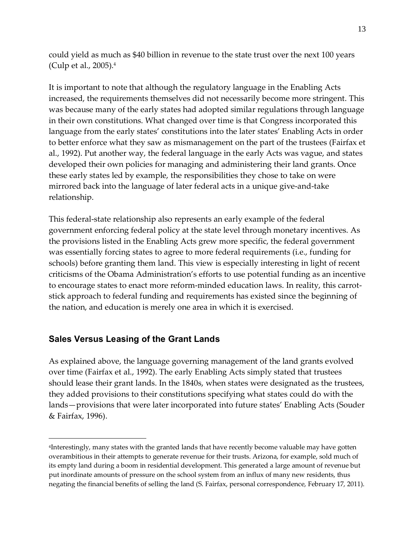could yield as much as \$40 billion in revenue to the state trust over the next 100 years (Culp et al., 2005).4

It is important to note that although the regulatory language in the Enabling Acts increased, the requirements themselves did not necessarily become more stringent. This was because many of the early states had adopted similar regulations through language in their own constitutions. What changed over time is that Congress incorporated this language from the early states' constitutions into the later states' Enabling Acts in order to better enforce what they saw as mismanagement on the part of the trustees (Fairfax et al., 1992). Put another way, the federal language in the early Acts was vague, and states developed their own policies for managing and administering their land grants. Once these early states led by example, the responsibilities they chose to take on were mirrored back into the language of later federal acts in a unique give-and-take relationship.

This federal-state relationship also represents an early example of the federal government enforcing federal policy at the state level through monetary incentives. As the provisions listed in the Enabling Acts grew more specific, the federal government was essentially forcing states to agree to more federal requirements (i.e., funding for schools) before granting them land. This view is especially interesting in light of recent criticisms of the Obama Administration's efforts to use potential funding as an incentive to encourage states to enact more reform-minded education laws. In reality, this carrotstick approach to federal funding and requirements has existed since the beginning of the nation, and education is merely one area in which it is exercised.

#### **Sales Versus Leasing of the Grant Lands**

 $\overline{a}$ 

As explained above, the language governing management of the land grants evolved over time (Fairfax et al., 1992). The early Enabling Acts simply stated that trustees should lease their grant lands. In the 1840s, when states were designated as the trustees, they added provisions to their constitutions specifying what states could do with the lands—provisions that were later incorporated into future states' Enabling Acts (Souder & Fairfax, 1996).

<sup>4</sup>Interestingly, many states with the granted lands that have recently become valuable may have gotten overambitious in their attempts to generate revenue for their trusts. Arizona, for example, sold much of its empty land during a boom in residential development. This generated a large amount of revenue but put inordinate amounts of pressure on the school system from an influx of many new residents, thus negating the financial benefits of selling the land (S. Fairfax, personal correspondence, February 17, 2011).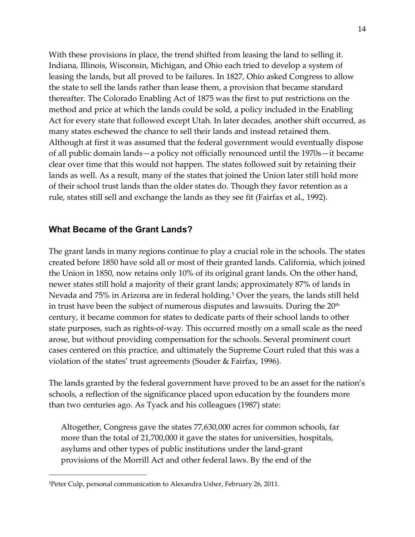With these provisions in place, the trend shifted from leasing the land to selling it. Indiana, Illinois, Wisconsin, Michigan, and Ohio each tried to develop a system of leasing the lands, but all proved to be failures. In 1827, Ohio asked Congress to allow the state to sell the lands rather than lease them, a provision that became standard thereafter. The Colorado Enabling Act of 1875 was the first to put restrictions on the method and price at which the lands could be sold, a policy included in the Enabling Act for every state that followed except Utah. In later decades, another shift occurred, as many states eschewed the chance to sell their lands and instead retained them. Although at first it was assumed that the federal government would eventually dispose of all public domain lands—a policy not officially renounced until the 1970s—it became clear over time that this would not happen. The states followed suit by retaining their lands as well. As a result, many of the states that joined the Union later still hold more of their school trust lands than the older states do. Though they favor retention as a rule, states still sell and exchange the lands as they see fit (Fairfax et al., 1992).

### **What Became of the Grant Lands?**

The grant lands in many regions continue to play a crucial role in the schools. The states created before 1850 have sold all or most of their granted lands. California, which joined the Union in 1850, now retains only 10% of its original grant lands. On the other hand, newer states still hold a majority of their grant lands; approximately 87% of lands in Nevada and 75% in Arizona are in federal holding. <sup>5</sup> Over the years, the lands still held in trust have been the subject of numerous disputes and lawsuits. During the  $20<sup>th</sup>$ century, it became common for states to dedicate parts of their school lands to other state purposes, such as rights-of-way. This occurred mostly on a small scale as the need arose, but without providing compensation for the schools. Several prominent court cases centered on this practice, and ultimately the Supreme Court ruled that this was a violation of the states' trust agreements (Souder & Fairfax, 1996).

The lands granted by the federal government have proved to be an asset for the nation's schools, a reflection of the significance placed upon education by the founders more than two centuries ago. As Tyack and his colleagues (1987) state:

Altogether, Congress gave the states 77,630,000 acres for common schools, far more than the total of 21,700,000 it gave the states for universities, hospitals, asylums and other types of public institutions under the land-grant provisions of the Morrill Act and other federal laws. By the end of the

 $\overline{a}$ 

<sup>5</sup>Peter Culp, personal communication to Alexandra Usher, February 26, 2011.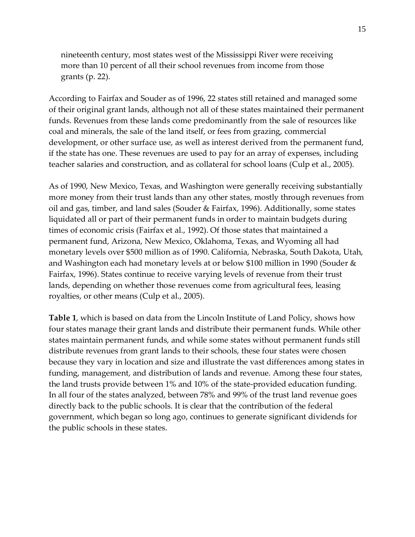nineteenth century, most states west of the Mississippi River were receiving more than 10 percent of all their school revenues from income from those grants (p. 22).

According to Fairfax and Souder as of 1996, 22 states still retained and managed some of their original grant lands, although not all of these states maintained their permanent funds. Revenues from these lands come predominantly from the sale of resources like coal and minerals, the sale of the land itself, or fees from grazing, commercial development, or other surface use, as well as interest derived from the permanent fund, if the state has one. These revenues are used to pay for an array of expenses, including teacher salaries and construction, and as collateral for school loans (Culp et al., 2005).

As of 1990, New Mexico, Texas, and Washington were generally receiving substantially more money from their trust lands than any other states, mostly through revenues from oil and gas, timber, and land sales (Souder & Fairfax, 1996). Additionally, some states liquidated all or part of their permanent funds in order to maintain budgets during times of economic crisis (Fairfax et al., 1992). Of those states that maintained a permanent fund, Arizona, New Mexico, Oklahoma, Texas, and Wyoming all had monetary levels over \$500 million as of 1990. California, Nebraska, South Dakota, Utah, and Washington each had monetary levels at or below \$100 million in 1990 (Souder & Fairfax, 1996). States continue to receive varying levels of revenue from their trust lands, depending on whether those revenues come from agricultural fees, leasing royalties, or other means (Culp et al., 2005).

**Table 1**, which is based on data from the Lincoln Institute of Land Policy, shows how four states manage their grant lands and distribute their permanent funds. While other states maintain permanent funds, and while some states without permanent funds still distribute revenues from grant lands to their schools, these four states were chosen because they vary in location and size and illustrate the vast differences among states in funding, management, and distribution of lands and revenue. Among these four states, the land trusts provide between 1% and 10% of the state-provided education funding. In all four of the states analyzed, between 78% and 99% of the trust land revenue goes directly back to the public schools. It is clear that the contribution of the federal government, which began so long ago, continues to generate significant dividends for the public schools in these states.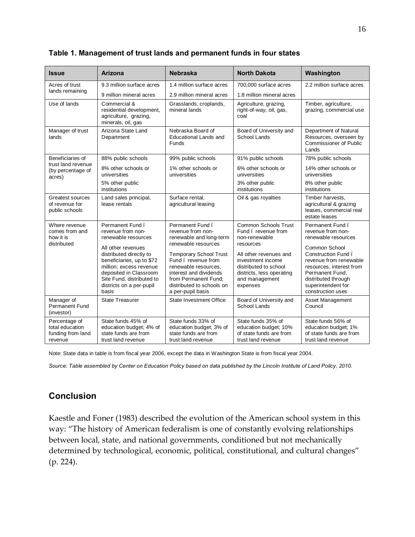| <b>Issue</b>                                                     | Arizona                                                                                                                                                                                                                                                          | <b>Nebraska</b>                                                                                                                                                                                                                                                           | <b>North Dakota</b>                                                                                                                                                                                                | Washington                                                                                                                                                                                                                                    |
|------------------------------------------------------------------|------------------------------------------------------------------------------------------------------------------------------------------------------------------------------------------------------------------------------------------------------------------|---------------------------------------------------------------------------------------------------------------------------------------------------------------------------------------------------------------------------------------------------------------------------|--------------------------------------------------------------------------------------------------------------------------------------------------------------------------------------------------------------------|-----------------------------------------------------------------------------------------------------------------------------------------------------------------------------------------------------------------------------------------------|
| Acres of trust                                                   | 9.3 million surface acres                                                                                                                                                                                                                                        | 1.4 million surface acres                                                                                                                                                                                                                                                 | 700,000 surface acres                                                                                                                                                                                              | 2.2 million surface acres                                                                                                                                                                                                                     |
| lands remaining                                                  | 9 million mineral acres                                                                                                                                                                                                                                          | 2.9 million mineral acres                                                                                                                                                                                                                                                 | 1.8 million mineral acres                                                                                                                                                                                          |                                                                                                                                                                                                                                               |
| Use of lands                                                     | Commercial &<br>residential development,<br>agriculture, grazing,<br>minerals, oil, gas                                                                                                                                                                          | Grasslands, croplands,<br>mineral lands                                                                                                                                                                                                                                   | Agriculture, grazing,<br>right-of-way, oil, gas,<br>coal                                                                                                                                                           | Timber, agriculture,<br>grazing, commercial use                                                                                                                                                                                               |
| Manager of trust<br>lands                                        | Arizona State Land<br>Department                                                                                                                                                                                                                                 | Nebraska Board of<br><b>Educational Lands and</b><br>Funds                                                                                                                                                                                                                | Board of University and<br><b>School Lands</b>                                                                                                                                                                     | Department of Natural<br>Resources, overseen by<br><b>Commissioner of Public</b><br>Lands                                                                                                                                                     |
| Beneficiaries of                                                 | 88% public schools                                                                                                                                                                                                                                               | 99% public schools                                                                                                                                                                                                                                                        | 91% public schools                                                                                                                                                                                                 | 78% public schools                                                                                                                                                                                                                            |
| trust land revenue<br>(by percentage of<br>acres)                | 8% other schools or<br>universities                                                                                                                                                                                                                              | 1% other schools or<br>universities                                                                                                                                                                                                                                       | 6% other schools or<br>universities                                                                                                                                                                                | 14% other schools or<br>universities                                                                                                                                                                                                          |
|                                                                  | 5% other public<br>institutions                                                                                                                                                                                                                                  |                                                                                                                                                                                                                                                                           | 3% other public<br>institutions                                                                                                                                                                                    | 8% other public<br>institutions                                                                                                                                                                                                               |
| <b>Greatest sources</b><br>of revenue for<br>public schools      | Land sales principal,<br>lease rentals                                                                                                                                                                                                                           | Surface rental.<br>agricultural leasing                                                                                                                                                                                                                                   | Oil & gas royalties                                                                                                                                                                                                | Timber harvests,<br>agricultural & grazing<br>leases, commercial real<br>estate leases                                                                                                                                                        |
| Where revenue<br>comes from and<br>how it is<br>distributed      | Permanent Fund.<br>revenue from non-<br>renewable resources<br>All other revenues<br>distributed directly to<br>beneficiaries, up to \$72<br>million; excess revenue<br>deposited in Classroom<br>Site Fund, distributed to<br>districts on a per-pupil<br>basis | Permanent Fund.<br>revenue from non-<br>renewable and long-term<br>renewable resources<br><b>Temporary School Trust</b><br>Fund, revenue from<br>renewable resources,<br>interest and dividends<br>from Permanent Fund;<br>distributed to schools on<br>a per-pupil basis | <b>Common Schools Trust</b><br>Fund, revenue from<br>non-renewable<br>resources<br>All other revenues and<br>investment income<br>distributed to school<br>districts, less operating<br>and management<br>expenses | Permanent Fund.<br>revenue from non-<br>renewable resources<br>Common School<br>Construction Fund.<br>revenue from renewable<br>resources, interest from<br>Permanent Fund:<br>distributed through<br>superintendent for<br>construction uses |
| Manager of<br><b>Permanent Fund</b><br>(investor)                | <b>State Treasurer</b>                                                                                                                                                                                                                                           | State Investment Office                                                                                                                                                                                                                                                   | Board of University and<br>School Lands                                                                                                                                                                            | Asset Management<br>Council                                                                                                                                                                                                                   |
| Percentage of<br>total education<br>funding from land<br>revenue | State funds 45% of<br>education budget; 4% of<br>state funds are from<br>trust land revenue                                                                                                                                                                      | State funds 33% of<br>education budget; 3% of<br>state funds are from<br>trust land revenue                                                                                                                                                                               | State funds 35% of<br>education budget; 10%<br>of state funds are from<br>trust land revenue                                                                                                                       | State funds 56% of<br>education budget; 1%<br>of state funds are from<br>trust land revenue                                                                                                                                                   |

#### **Table 1. Management of trust lands and permanent funds in four states**

Note: State data in table is from fiscal year 2006, except the data in Washington State is from fiscal year 2004.

*Source: Table assembled by Center on Education Policy based on data published by the Lincoln Institute of Land Policy, 2010.*

## **Conclusion**

Kaestle and Foner (1983) described the evolution of the American school system in this way: "The history of American federalism is one of constantly evolving relationships between local, state, and national governments, conditioned but not mechanically determined by technological, economic, political, constitutional, and cultural changes" (p. 224).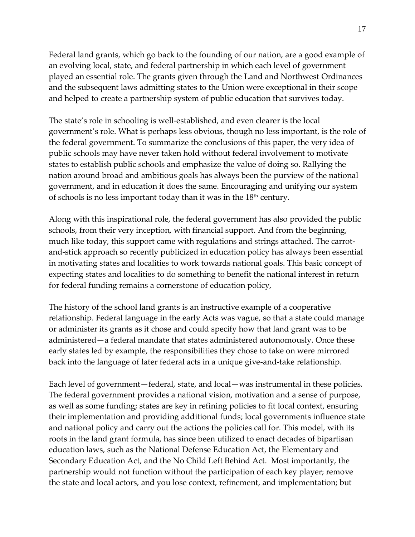Federal land grants, which go back to the founding of our nation, are a good example of an evolving local, state, and federal partnership in which each level of government played an essential role. The grants given through the Land and Northwest Ordinances and the subsequent laws admitting states to the Union were exceptional in their scope and helped to create a partnership system of public education that survives today.

The state's role in schooling is well-established, and even clearer is the local government's role. What is perhaps less obvious, though no less important, is the role of the federal government. To summarize the conclusions of this paper, the very idea of public schools may have never taken hold without federal involvement to motivate states to establish public schools and emphasize the value of doing so. Rallying the nation around broad and ambitious goals has always been the purview of the national government, and in education it does the same. Encouraging and unifying our system of schools is no less important today than it was in the  $18<sup>th</sup>$  century.

Along with this inspirational role, the federal government has also provided the public schools, from their very inception, with financial support. And from the beginning, much like today, this support came with regulations and strings attached. The carrotand-stick approach so recently publicized in education policy has always been essential in motivating states and localities to work towards national goals. This basic concept of expecting states and localities to do something to benefit the national interest in return for federal funding remains a cornerstone of education policy,

The history of the school land grants is an instructive example of a cooperative relationship. Federal language in the early Acts was vague, so that a state could manage or administer its grants as it chose and could specify how that land grant was to be administered—a federal mandate that states administered autonomously. Once these early states led by example, the responsibilities they chose to take on were mirrored back into the language of later federal acts in a unique give-and-take relationship.

Each level of government—federal, state, and local—was instrumental in these policies. The federal government provides a national vision, motivation and a sense of purpose, as well as some funding; states are key in refining policies to fit local context, ensuring their implementation and providing additional funds; local governments influence state and national policy and carry out the actions the policies call for. This model, with its roots in the land grant formula, has since been utilized to enact decades of bipartisan education laws, such as the National Defense Education Act, the Elementary and Secondary Education Act, and the No Child Left Behind Act. Most importantly, the partnership would not function without the participation of each key player; remove the state and local actors, and you lose context, refinement, and implementation; but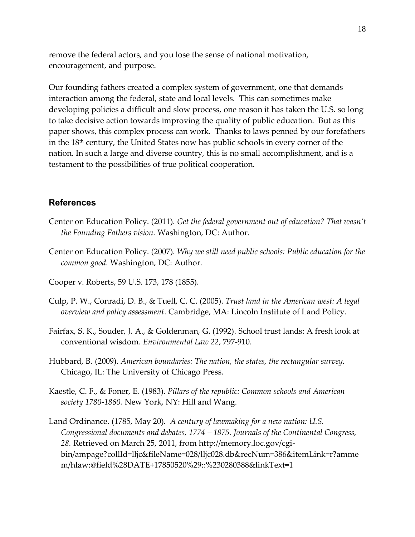remove the federal actors, and you lose the sense of national motivation, encouragement, and purpose.

Our founding fathers created a complex system of government, one that demands interaction among the federal, state and local levels. This can sometimes make developing policies a difficult and slow process, one reason it has taken the U.S. so long to take decisive action towards improving the quality of public education. But as this paper shows, this complex process can work. Thanks to laws penned by our forefathers in the  $18<sup>th</sup>$  century, the United States now has public schools in every corner of the nation. In such a large and diverse country, this is no small accomplishment, and is a testament to the possibilities of true political cooperation.

#### **References**

- Center on Education Policy. (2011). *Get the federal government out of education? That wasn't the Founding Fathers vision.* Washington, DC: Author.
- Center on Education Policy. (2007). *Why we still need public schools: Public education for the common good.* Washington, DC: Author.
- Cooper v. Roberts, 59 U.S. 173, 178 (1855).
- Culp, P. W., Conradi, D. B., & Tuell, C. C. (2005). *Trust land in the American west: A legal overview and policy assessment*. Cambridge, MA: Lincoln Institute of Land Policy.
- Fairfax, S. K., Souder, J. A., & Goldenman, G. (1992). School trust lands: A fresh look at conventional wisdom. *Environmental Law 22*, 797-910.
- Hubbard, B. (2009). *American boundaries: The nation, the states, the rectangular survey.*  Chicago, IL: The University of Chicago Press.
- Kaestle, C. F., & Foner, E. (1983). *Pillars of the republic: Common schools and American society 1780-1860.* New York, NY: Hill and Wang.
- Land Ordinance. (1785, May 20). *A century of lawmaking for a new nation: U.S. Congressional documents and debates, 1774 – 1875. Journals of the Continental Congress, 28.* Retrieved on March 25, 2011, from http://memory.loc.gov/cgibin/ampage?collId=lljc&fileName=028/lljc028.db&recNum=386&itemLink=r?amme m/hlaw:@field%28DATE+17850520%29::%230280388&linkText=1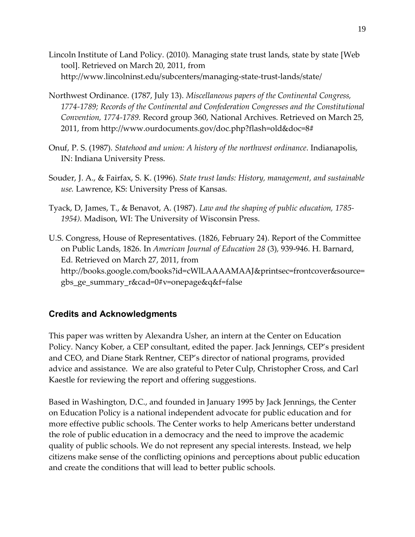- Lincoln Institute of Land Policy. (2010). Managing state trust lands, state by state [Web tool]. Retrieved on March 20, 2011, from http://www.lincolninst.edu/subcenters/managing-state-trust-lands/state/
- Northwest Ordinance. (1787, July 13). *Miscellaneous papers of the Continental Congress, 1774-1789; Records of the Continental and Confederation Congresses and the Constitutional Convention, 1774-1789.* Record group 360, National Archives. Retrieved on March 25, 2011, from http://www.ourdocuments.gov/doc.php?flash=old&doc=8#
- Onuf, P. S. (1987). *Statehood and union: A history of the northwest ordinance*. Indianapolis, IN: Indiana University Press.
- Souder, J. A., & Fairfax, S. K. (1996). *State trust lands: History, management, and sustainable use.* Lawrence, KS: University Press of Kansas.
- Tyack, D, James, T., & Benavot, A. (1987). *Law and the shaping of public education, 1785- 1954).* Madison, WI: The University of Wisconsin Press.
- U.S. Congress, House of Representatives. (1826, February 24). Report of the Committee on Public Lands, 1826. In *American Journal of Education 28* (3)*,* 939-946. H. Barnard, Ed. Retrieved on March 27, 2011, from http://books.google.com/books?id=cWlLAAAAMAAJ&printsec=frontcover&source= gbs\_ge\_summary\_r&cad=0#v=onepage&q&f=false

## **Credits and Acknowledgments**

This paper was written by Alexandra Usher, an intern at the Center on Education Policy. Nancy Kober, a CEP consultant, edited the paper. Jack Jennings, CEP's president and CEO, and Diane Stark Rentner, CEP's director of national programs, provided advice and assistance. We are also grateful to Peter Culp, Christopher Cross, and Carl Kaestle for reviewing the report and offering suggestions.

Based in Washington, D.C., and founded in January 1995 by Jack Jennings, the Center on Education Policy is a national independent advocate for public education and for more effective public schools. The Center works to help Americans better understand the role of public education in a democracy and the need to improve the academic quality of public schools. We do not represent any special interests. Instead, we help citizens make sense of the conflicting opinions and perceptions about public education and create the conditions that will lead to better public schools.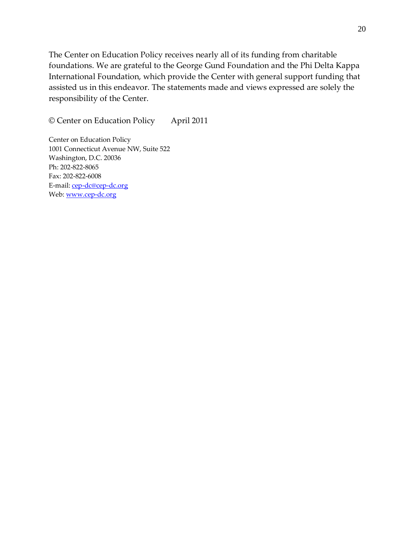The Center on Education Policy receives nearly all of its funding from charitable foundations. We are grateful to the George Gund Foundation and the Phi Delta Kappa International Foundation, which provide the Center with general support funding that assisted us in this endeavor. The statements made and views expressed are solely the responsibility of the Center.

© Center on Education Policy April 2011

Center on Education Policy 1001 Connecticut Avenue NW, Suite 522 Washington, D.C. 20036 Ph: 202-822-8065 Fax: 202-822-6008 E-mail: cep-dc@cep-dc.org Web: www.cep-dc.org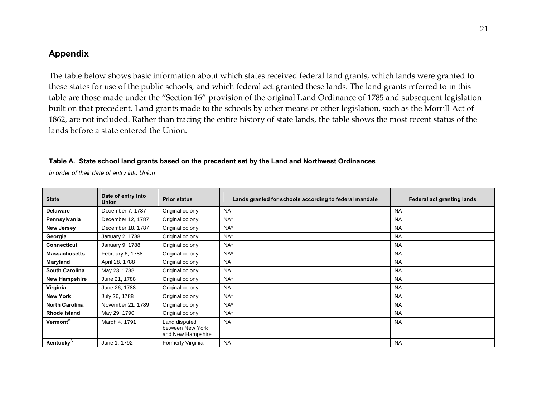## **Appendix**

The table below shows basic information about which states received federal land grants, which lands were granted to these states for use of the public schools, and which federal act granted these lands. The land grants referred to in this table are those made under the "Section 16" provision of the original Land Ordinance of 1785 and subsequent legislation built on that precedent. Land grants made to the schools by other means or other legislation, such as the Morrill Act of 1862, are not included. Rather than tracing the entire history of state lands, the table shows the most recent status of the lands before a state entered the Union.

#### **Table A. State school land grants based on the precedent set by the Land and Northwest Ordinances**

*In order of their date of entry into Union*

| <b>State</b>          | Date of entry into<br><b>Union</b> | <b>Prior status</b>                                    | Lands granted for schools according to federal mandate | Federal act granting lands |
|-----------------------|------------------------------------|--------------------------------------------------------|--------------------------------------------------------|----------------------------|
| <b>Delaware</b>       | December 7, 1787                   | Original colony                                        | <b>NA</b>                                              | <b>NA</b>                  |
| Pennsylvania          | December 12, 1787                  | Original colony                                        | $NA^*$                                                 | <b>NA</b>                  |
| <b>New Jersey</b>     | December 18, 1787                  | Original colony                                        | $NA^*$                                                 | <b>NA</b>                  |
| Georgia               | January 2, 1788                    | Original colony                                        | $NA^*$                                                 | <b>NA</b>                  |
| <b>Connecticut</b>    | January 9, 1788                    | Original colony                                        | $NA^*$                                                 | <b>NA</b>                  |
| <b>Massachusetts</b>  | February 6, 1788                   | Original colony                                        | $NA^*$                                                 | <b>NA</b>                  |
| Maryland              | April 28, 1788                     | Original colony                                        | <b>NA</b>                                              | <b>NA</b>                  |
| <b>South Carolina</b> | May 23, 1788                       | Original colony                                        | <b>NA</b>                                              | <b>NA</b>                  |
| <b>New Hampshire</b>  | June 21, 1788                      | Original colony                                        | $NA^*$                                                 | <b>NA</b>                  |
| Virginia              | June 26, 1788                      | Original colony                                        | <b>NA</b>                                              | <b>NA</b>                  |
| <b>New York</b>       | July 26, 1788                      | Original colony                                        | $NA^*$                                                 | <b>NA</b>                  |
| <b>North Carolina</b> | November 21, 1789                  | Original colony                                        | $NA^*$                                                 | <b>NA</b>                  |
| Rhode Island          | May 29, 1790                       | Original colony                                        | $NA^*$                                                 | <b>NA</b>                  |
| <b>Vermont</b> ®      | March 4, 1791                      | Land disputed<br>between New York<br>and New Hampshire | <b>NA</b>                                              | <b>NA</b>                  |
| <b>Kentucky</b>       | June 1, 1792                       | Formerly Virginia                                      | <b>NA</b>                                              | <b>NA</b>                  |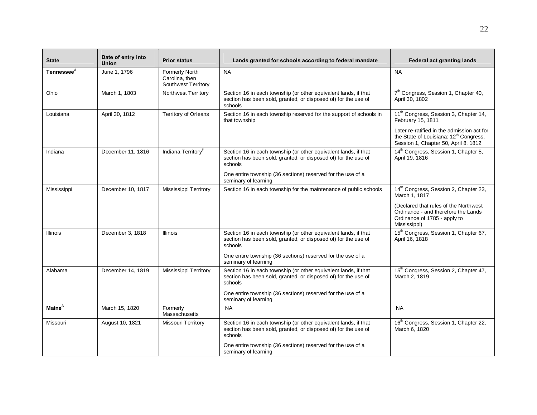| <b>State</b>       | Date of entry into<br><b>Union</b> | <b>Prior status</b>                                     | Lands granted for schools according to federal mandate                                                                                       | <b>Federal act granting lands</b>                                                                                                        |
|--------------------|------------------------------------|---------------------------------------------------------|----------------------------------------------------------------------------------------------------------------------------------------------|------------------------------------------------------------------------------------------------------------------------------------------|
| <b>Tennessee</b> ® | June 1, 1796                       | Formerly North<br>Carolina, then<br>Southwest Territory | <b>NA</b>                                                                                                                                    | <b>NA</b>                                                                                                                                |
| Ohio               | March 1, 1803                      | <b>Northwest Territory</b>                              | Section 16 in each township (or other equivalent lands, if that<br>section has been sold, granted, or disposed of) for the use of<br>schools | 7 <sup>th</sup> Congress, Session 1, Chapter 40,<br>April 30, 1802                                                                       |
| Louisiana          | April 30, 1812                     | <b>Territory of Orleans</b>                             | Section 16 in each township reserved for the support of schools in<br>that township                                                          | 11 <sup>th</sup> Congress, Session 3, Chapter 14,<br>February 15, 1811                                                                   |
|                    |                                    |                                                         |                                                                                                                                              | Later re-ratified in the admission act for<br>the State of Louisiana: 12 <sup>th</sup> Congress,<br>Session 1, Chapter 50, April 8, 1812 |
| Indiana            | December 11, 1816                  | Indiana Territory                                       | Section 16 in each township (or other equivalent lands, if that<br>section has been sold, granted, or disposed of) for the use of<br>schools | 14 <sup>th</sup> Congress, Session 1, Chapter 5,<br>April 19, 1816                                                                       |
|                    |                                    |                                                         | One entire township (36 sections) reserved for the use of a<br>seminary of learning                                                          |                                                                                                                                          |
| Mississippi        | December 10, 1817                  | Mississippi Territory                                   | Section 16 in each township for the maintenance of public schools                                                                            | 14 <sup>th</sup> Congress, Session 2, Chapter 23,<br>March 1, 1817                                                                       |
|                    |                                    |                                                         |                                                                                                                                              | (Declared that rules of the Northwest<br>Ordinance - and therefore the Lands<br>Ordinance of 1785 - apply to<br>Mississippi)             |
| <b>Illinois</b>    | December 3, 1818                   | Illinois                                                | Section 16 in each township (or other equivalent lands, if that<br>section has been sold, granted, or disposed of) for the use of<br>schools | 15 <sup>th</sup> Congress, Session 1, Chapter 67,<br>April 16, 1818                                                                      |
|                    |                                    |                                                         | One entire township (36 sections) reserved for the use of a<br>seminary of learning                                                          |                                                                                                                                          |
| Alabama            | December 14, 1819                  | <b>Mississippi Territory</b>                            | Section 16 in each township (or other equivalent lands, if that<br>section has been sold, granted, or disposed of) for the use of<br>schools | 15 <sup>th</sup> Congress, Session 2, Chapter 47,<br>March 2, 1819                                                                       |
|                    |                                    |                                                         | One entire township (36 sections) reserved for the use of a<br>seminary of learning                                                          |                                                                                                                                          |
| <b>Maine</b> ®     | March 15, 1820                     | Formerly<br>Massachusetts                               | <b>NA</b>                                                                                                                                    | <b>NA</b>                                                                                                                                |
| Missouri           | August 10, 1821                    | Missouri Territory                                      | Section 16 in each township (or other equivalent lands, if that<br>section has been sold, granted, or disposed of) for the use of<br>schools | 16 <sup>th</sup> Congress, Session 1, Chapter 22,<br>March 6, 1820                                                                       |
|                    |                                    |                                                         | One entire township (36 sections) reserved for the use of a<br>seminary of learning                                                          |                                                                                                                                          |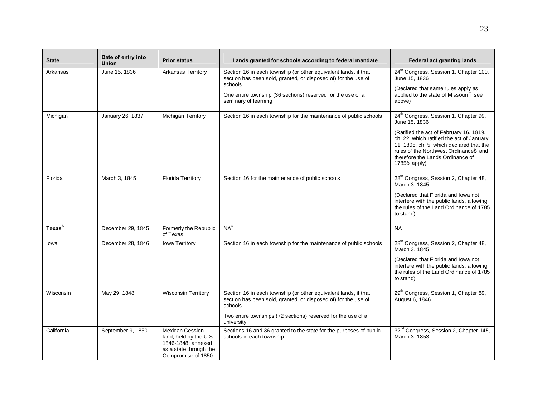| <b>State</b>       | Date of entry into<br><b>Union</b> | <b>Prior status</b>                                                                                                    | Lands granted for schools according to federal mandate                                                                                       | Federal act granting lands                                                                                                                                                                                                                        |
|--------------------|------------------------------------|------------------------------------------------------------------------------------------------------------------------|----------------------------------------------------------------------------------------------------------------------------------------------|---------------------------------------------------------------------------------------------------------------------------------------------------------------------------------------------------------------------------------------------------|
| Arkansas           | June 15, 1836                      | <b>Arkansas Territory</b>                                                                                              | Section 16 in each township (or other equivalent lands, if that<br>section has been sold, granted, or disposed of) for the use of<br>schools | 24 <sup>th</sup> Congress, Session 1, Chapter 100,<br>June 15, 1836<br>(Declared that same rules apply as                                                                                                                                         |
|                    |                                    |                                                                                                                        | One entire township (36 sections) reserved for the use of a<br>seminary of learning                                                          | applied to the state of Missouri. see<br>above)                                                                                                                                                                                                   |
| Michigan           | January 26, 1837                   | Michigan Territory                                                                                                     | Section 16 in each township for the maintenance of public schools                                                                            | 24 <sup>th</sup> Congress, Session 1, Chapter 99,<br>June 15, 1836                                                                                                                                                                                |
|                    |                                    |                                                                                                                        |                                                                                                                                              | (Ratified the act of February 16, 1819,<br>ch. 22, which ratified the act of January<br>11, 1805, ch. 5, which declared that the<br>rules of the Northwest Ordinance <sub>ô</sub> and<br>therefore the Lands Ordinance of<br>$1785\hat{o}$ apply) |
| Florida            | March 3, 1845                      | <b>Florida Territory</b>                                                                                               | Section 16 for the maintenance of public schools                                                                                             | 28 <sup>th</sup> Congress, Session 2, Chapter 48,<br>March 3, 1845                                                                                                                                                                                |
|                    |                                    |                                                                                                                        |                                                                                                                                              | (Declared that Florida and Iowa not<br>interfere with the public lands, allowing<br>the rules of the Land Ordinance of 1785<br>to stand)                                                                                                          |
| Texas <sup>®</sup> | December 29, 1845                  | Formerly the Republic<br>of Texas                                                                                      | $NA^{\times}$                                                                                                                                | <b>NA</b>                                                                                                                                                                                                                                         |
| lowa               | December 28, 1846                  | Iowa Territory                                                                                                         | Section 16 in each township for the maintenance of public schools                                                                            | 28 <sup>th</sup> Congress, Session 2, Chapter 48,<br>March 3, 1845                                                                                                                                                                                |
|                    |                                    |                                                                                                                        |                                                                                                                                              | (Declared that Florida and Iowa not<br>interfere with the public lands, allowing<br>the rules of the Land Ordinance of 1785<br>to stand)                                                                                                          |
| Wisconsin          | May 29, 1848                       | <b>Wisconsin Territory</b>                                                                                             | Section 16 in each township (or other equivalent lands, if that<br>section has been sold, granted, or disposed of) for the use of<br>schools | 29 <sup>th</sup> Congress, Session 1, Chapter 89,<br>August 6, 1846                                                                                                                                                                               |
|                    |                                    |                                                                                                                        | Two entire townships (72 sections) reserved for the use of a<br>university                                                                   |                                                                                                                                                                                                                                                   |
| California         | September 9, 1850                  | <b>Mexican Cession</b><br>land; held by the U.S.<br>1846-1848; annexed<br>as a state through the<br>Compromise of 1850 | Sections 16 and 36 granted to the state for the purposes of public<br>schools in each township                                               | 32 <sup>nd</sup> Congress, Session 2, Chapter 145,<br>March 3, 1853                                                                                                                                                                               |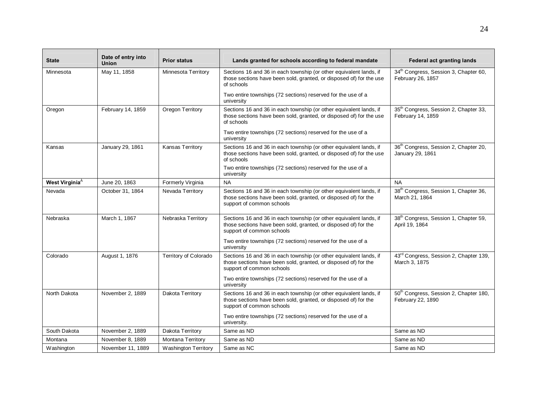| <b>State</b>           | Date of entry into<br>Union | <b>Prior status</b>         | Lands granted for schools according to federal mandate                                                                                                             | <b>Federal act granting lands</b>                                       |
|------------------------|-----------------------------|-----------------------------|--------------------------------------------------------------------------------------------------------------------------------------------------------------------|-------------------------------------------------------------------------|
| Minnesota              | May 11, 1858                | Minnesota Territory         | Sections 16 and 36 in each township (or other equivalent lands, if<br>those sections have been sold, granted, or disposed of) for the use<br>of schools            | 34 <sup>th</sup> Congress, Session 3, Chapter 60,<br>February 26, 1857  |
|                        |                             |                             | Two entire townships (72 sections) reserved for the use of a<br>university                                                                                         |                                                                         |
| Oregon                 | February 14, 1859           | Oregon Territory            | Sections 16 and 36 in each township (or other equivalent lands, if<br>those sections have been sold, granted, or disposed of) for the use<br>of schools            | 35 <sup>th</sup> Congress, Session 2, Chapter 33,<br>February 14, 1859  |
|                        |                             |                             | Two entire townships (72 sections) reserved for the use of a<br>university                                                                                         |                                                                         |
| Kansas                 | January 29, 1861            | <b>Kansas Territory</b>     | Sections 16 and 36 in each township (or other equivalent lands, if<br>those sections have been sold, granted, or disposed of) for the use<br>of schools            | 36 <sup>th</sup> Congress, Session 2, Chapter 20,<br>January 29, 1861   |
|                        |                             |                             | Two entire townships (72 sections) reserved for the use of a<br>university                                                                                         |                                                                         |
| <b>West Virginia</b> ® | June 20, 1863               | Formerly Virginia           | <b>NA</b>                                                                                                                                                          | <b>NA</b>                                                               |
| Nevada                 | October 31, 1864            | Nevada Territory            | Sections 16 and 36 in each township (or other equivalent lands, if<br>those sections have been sold, granted, or disposed of) for the<br>support of common schools | 38 <sup>th</sup> Congress, Session 1, Chapter 36,<br>March 21, 1864     |
| Nebraska               | March 1, 1867               | Nebraska Territory          | Sections 16 and 36 in each township (or other equivalent lands, if<br>those sections have been sold, granted, or disposed of) for the<br>support of common schools | 38 <sup>th</sup> Congress, Session 1, Chapter 59,<br>April 19, 1864     |
|                        |                             |                             | Two entire townships (72 sections) reserved for the use of a<br>university                                                                                         |                                                                         |
| Colorado               | August 1, 1876              | Territory of Colorado       | Sections 16 and 36 in each township (or other equivalent lands, if<br>those sections have been sold, granted, or disposed of) for the<br>support of common schools | 43 <sup>rd</sup> Congress, Session 2, Chapter 139,<br>March 3, 1875     |
|                        |                             |                             | Two entire townships (72 sections) reserved for the use of a<br>university                                                                                         |                                                                         |
| North Dakota           | November 2, 1889            | Dakota Territory            | Sections 16 and 36 in each township (or other equivalent lands, if<br>those sections have been sold, granted, or disposed of) for the<br>support of common schools | 50 <sup>th</sup> Congress, Session 2, Chapter 180,<br>February 22, 1890 |
|                        |                             |                             | Two entire townships (72 sections) reserved for the use of a<br>university.                                                                                        |                                                                         |
| South Dakota           | November 2, 1889            | Dakota Territory            | Same as ND                                                                                                                                                         | Same as ND                                                              |
| Montana                | November 8, 1889            | Montana Territory           | Same as ND                                                                                                                                                         | Same as ND                                                              |
| Washington             | November 11, 1889           | <b>Washington Territory</b> | Same as NC                                                                                                                                                         | Same as ND                                                              |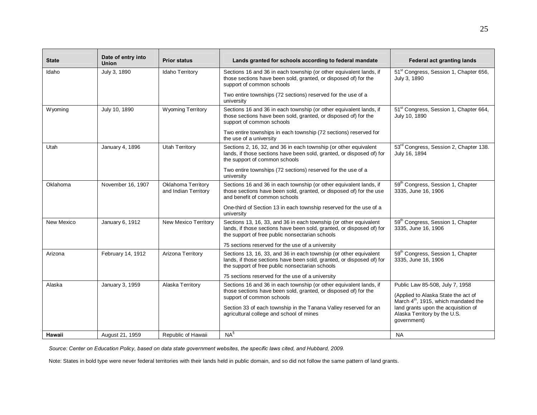| <b>State</b> | Date of entry into<br><b>Union</b> | <b>Prior status</b>                               | Lands granted for schools according to federal mandate                                                                                                                                        | <b>Federal act granting lands</b>                                                                                          |
|--------------|------------------------------------|---------------------------------------------------|-----------------------------------------------------------------------------------------------------------------------------------------------------------------------------------------------|----------------------------------------------------------------------------------------------------------------------------|
| Idaho        | July 3, 1890                       | <b>Idaho Territory</b>                            | Sections 16 and 36 in each township (or other equivalent lands, if<br>those sections have been sold, granted, or disposed of) for the<br>support of common schools                            | 51 <sup>st</sup> Congress, Session 1, Chapter 656,<br>July 3, 1890                                                         |
|              |                                    |                                                   | Two entire townships (72 sections) reserved for the use of a<br>university                                                                                                                    |                                                                                                                            |
| Wyoming      | July 10, 1890                      | <b>Wyoming Territory</b>                          | Sections 16 and 36 in each township (or other equivalent lands, if<br>those sections have been sold, granted, or disposed of) for the<br>support of common schools                            | 51 <sup>st</sup> Congress, Session 1, Chapter 664,<br>July 10, 1890                                                        |
|              |                                    |                                                   | Two entire townships in each township (72 sections) reserved for<br>the use of a university                                                                                                   |                                                                                                                            |
| Utah         | January 4, 1896                    | <b>Utah Territory</b>                             | Sections 2, 16, 32, and 36 in each township (or other equivalent<br>lands, if those sections have been sold, granted, or disposed of) for<br>the support of common schools                    | 53 <sup>rd</sup> Congress, Session 2, Chapter 138.<br>July 16, 1894                                                        |
|              |                                    |                                                   | Two entire townships (72 sections) reserved for the use of a<br>university                                                                                                                    |                                                                                                                            |
| Oklahoma     | November 16, 1907                  | <b>Oklahoma Territory</b><br>and Indian Territory | Sections 16 and 36 in each township (or other equivalent lands, if<br>those sections have been sold, granted, or disposed of) for the use<br>and benefit of common schools                    | 59 <sup>th</sup> Congress, Session 1, Chapter<br>3335, June 16, 1906                                                       |
|              |                                    |                                                   | One-third of Section 13 in each township reserved for the use of a<br>university                                                                                                              |                                                                                                                            |
| New Mexico   | January 6, 1912                    | New Mexico Territory                              | Sections 13, 16, 33, and 36 in each township (or other equivalent<br>lands, if those sections have been sold, granted, or disposed of) for<br>the support of free public nonsectarian schools | 59 <sup>th</sup> Congress, Session 1, Chapter<br>3335, June 16, 1906                                                       |
|              |                                    |                                                   | 75 sections reserved for the use of a university                                                                                                                                              |                                                                                                                            |
| Arizona      | February 14, 1912                  | Arizona Territory                                 | Sections 13, 16, 33, and 36 in each township (or other equivalent<br>lands, if those sections have been sold, granted, or disposed of) for<br>the support of free public nonsectarian schools | 59 <sup>th</sup> Congress, Session 1, Chapter<br>3335. June 16, 1906                                                       |
|              |                                    |                                                   | 75 sections reserved for the use of a university                                                                                                                                              |                                                                                                                            |
| Alaska       | January 3, 1959                    | Alaska Territory                                  | Sections 16 and 36 in each township (or other equivalent lands, if<br>those sections have been sold, granted, or disposed of) for the<br>support of common schools                            | Public Law 85-508, July 7, 1958<br>(Applied to Alaska State the act of<br>March 4 <sup>th</sup> , 1915, which mandated the |
|              |                                    |                                                   | Section 33 of each township in the Tanana Valley reserved for an<br>agricultural college and school of mines                                                                                  | land grants upon the acquisition of<br>Alaska Territory by the U.S.<br>government)                                         |
| Hawaii       | August 21, 1959                    | Republic of Hawaii                                | $NA^{\S}$                                                                                                                                                                                     | <b>NA</b>                                                                                                                  |

*Source: Center on Education Policy, based on data state government websites, the specific laws cited, and Hubbard, 2009.* 

Note: States in bold type were never federal territories with their lands held in public domain, and so did not follow the same pattern of land grants.